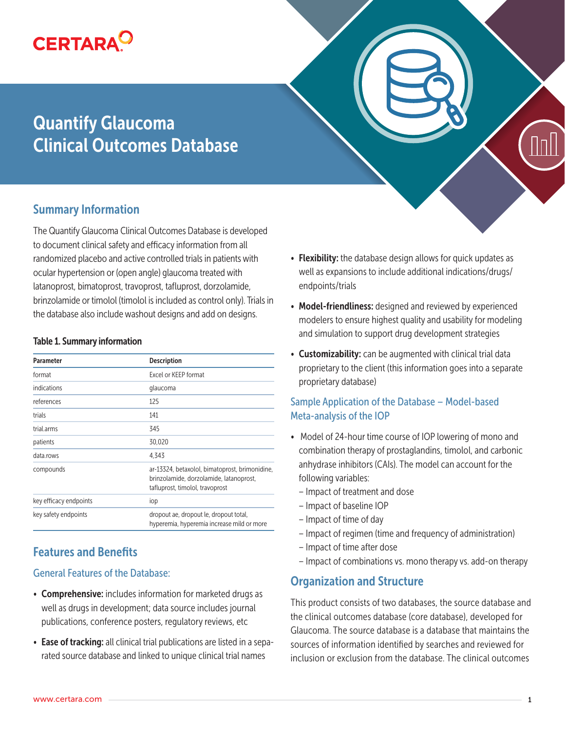

# Quantify Glaucoma Clinical Outcomes Database

## Summary Information

The Quantify Glaucoma Clinical Outcomes Database is developed to document clinical safety and efficacy information from all randomized placebo and active controlled trials in patients with ocular hypertension or (open angle) glaucoma treated with latanoprost, bimatoprost, travoprost, tafluprost, dorzolamide, brinzolamide or timolol (timolol is included as control only). Trials in the database also include washout designs and add on designs.

#### Table 1. Summary information

| <b>Parameter</b>       | <b>Description</b>                                                                                                           |  |
|------------------------|------------------------------------------------------------------------------------------------------------------------------|--|
| format                 | Excel or KEEP format                                                                                                         |  |
| indications            | glaucoma                                                                                                                     |  |
| references             | 125                                                                                                                          |  |
| trials                 | 141                                                                                                                          |  |
| trial.arms             | 345                                                                                                                          |  |
| patients               | 30,020                                                                                                                       |  |
| data.rows              | 4.343                                                                                                                        |  |
| compounds              | ar-13324, betaxolol, bimatoprost, brimonidine,<br>brinzolamide, dorzolamide, latanoprost,<br>tafluprost, timolol, travoprost |  |
| key efficacy endpoints | iop                                                                                                                          |  |
| key safety endpoints   | dropout ae, dropout le, dropout total,<br>hyperemia, hyperemia increase mild or more                                         |  |

## Features and Benefits

#### General Features of the Database:

- Comprehensive: includes information for marketed drugs as well as drugs in development; data source includes journal publications, conference posters, regulatory reviews, etc
- Ease of tracking: all clinical trial publications are listed in a separated source database and linked to unique clinical trial names



- Flexibility: the database design allows for quick updates as well as expansions to include additional indications/drugs/ endpoints/trials
- Model-friendliness: designed and reviewed by experienced modelers to ensure highest quality and usability for modeling and simulation to support drug development strategies
- Customizability: can be augmented with clinical trial data proprietary to the client (this information goes into a separate proprietary database)

#### Sample Application of the Database – Model-based Meta-analysis of the IOP

- Model of 24-hour time course of IOP lowering of mono and combination therapy of prostaglandins, timolol, and carbonic anhydrase inhibitors (CAIs). The model can account for the following variables:
	- Impact of treatment and dose
	- Impact of baseline IOP
	- Impact of time of day
	- Impact of regimen (time and frequency of administration)
	- Impact of time after dose
	- Impact of combinations vs. mono therapy vs. add-on therapy

## Organization and Structure

This product consists of two databases, the source database and the clinical outcomes database (core database), developed for Glaucoma. The source database is a database that maintains the sources of information identified by searches and reviewed for inclusion or exclusion from the database. The clinical outcomes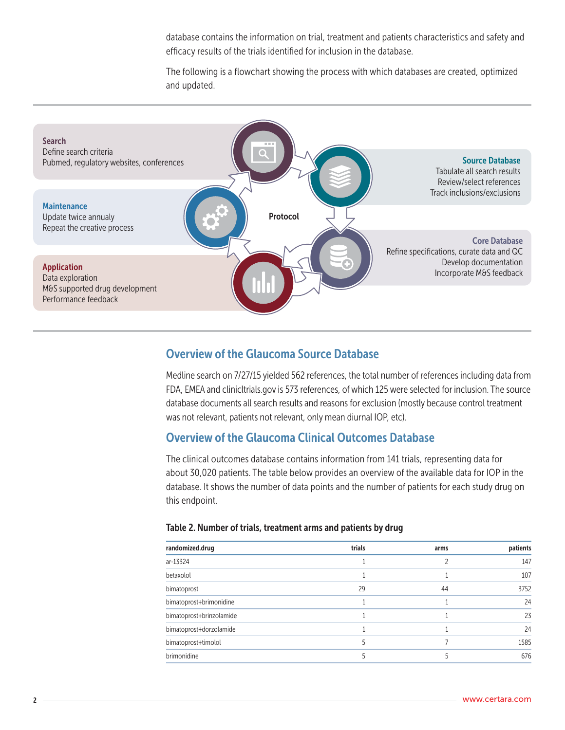database contains the information on trial, treatment and patients characteristics and safety and efficacy results of the trials identified for inclusion in the database.

The following is a flowchart showing the process with which databases are created, optimized and updated.



## Overview of the Glaucoma Source Database

Medline search on 7/27/15 yielded 562 references, the total number of references including data from FDA, EMEA and clinicltrials.gov is 573 references, of which 125 were selected for inclusion. The source database documents all search results and reasons for exclusion (mostly because control treatment was not relevant, patients not relevant, only mean diurnal IOP, etc).

## Overview of the Glaucoma Clinical Outcomes Database

The clinical outcomes database contains information from 141 trials, representing data for about 30,020 patients. The table below provides an overview of the available data for IOP in the database. It shows the number of data points and the number of patients for each study drug on this endpoint.

| randomized.drug          | trials | arms | patients |
|--------------------------|--------|------|----------|
| ar-13324                 |        |      | 147      |
| betaxolol                |        |      | 107      |
| bimatoprost              | 29     | 44   | 3752     |
| bimatoprost+brimonidine  |        |      | 24       |
| bimatoprost+brinzolamide |        |      | 23       |
| bimatoprost+dorzolamide  |        |      | 24       |
| bimatoprost+timolol      |        |      | 1585     |
| brimonidine              |        |      | 676      |

#### Table 2. Number of trials, treatment arms and patients by drug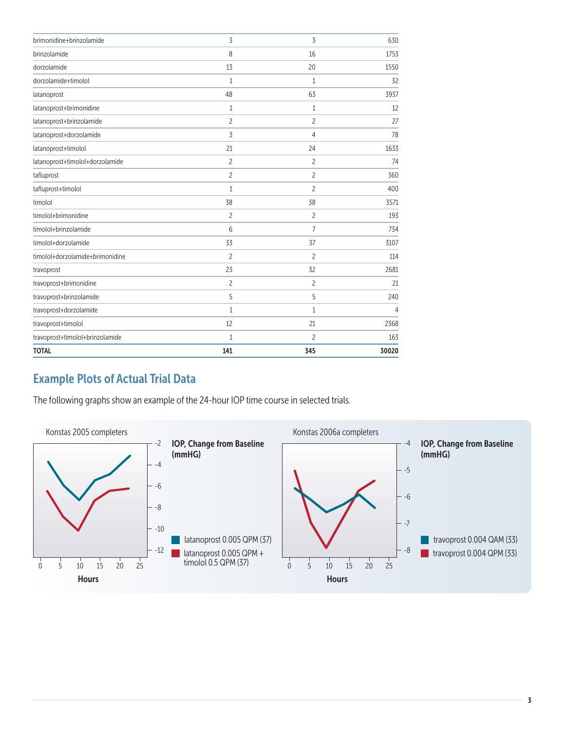| 3              | 3              | 630   |
|----------------|----------------|-------|
| 8              | 16             | 1753  |
| 13             | 20             | 1550  |
| $\mathbf{1}$   | $1\,$          | 32    |
| 48             | 63             | 3937  |
| $\mathbf{1}$   | 1              | 12    |
| $\overline{c}$ | $\overline{c}$ | 27    |
| 3              | 4              | 78    |
| 21             | 24             | 1633  |
| $\overline{c}$ | 2              | 74    |
| $\overline{c}$ | $\overline{c}$ | 360   |
| $\mathbf{1}$   | $\overline{c}$ | 400   |
| 38             | 38             | 3571  |
| $\overline{c}$ | $\overline{c}$ | 193   |
| 6              | $\overline{7}$ | 734   |
| 33             | 37             | 3107  |
| $\overline{c}$ | $\overline{c}$ | 114   |
| 23             | 32             | 2681  |
| $\overline{c}$ | 2              | 21    |
| 5              | 5              | 240   |
| $\mathbf{1}$   | $\mathbf{1}$   | 4     |
| 12             | 21             | 2368  |
| $\mathbf{1}$   | 2              | 163   |
| 141            | 345            | 30020 |
|                |                |       |

# Example Plots of Actual Trial Data

The following graphs show an example of the 24-hour IOP time course in selected trials.